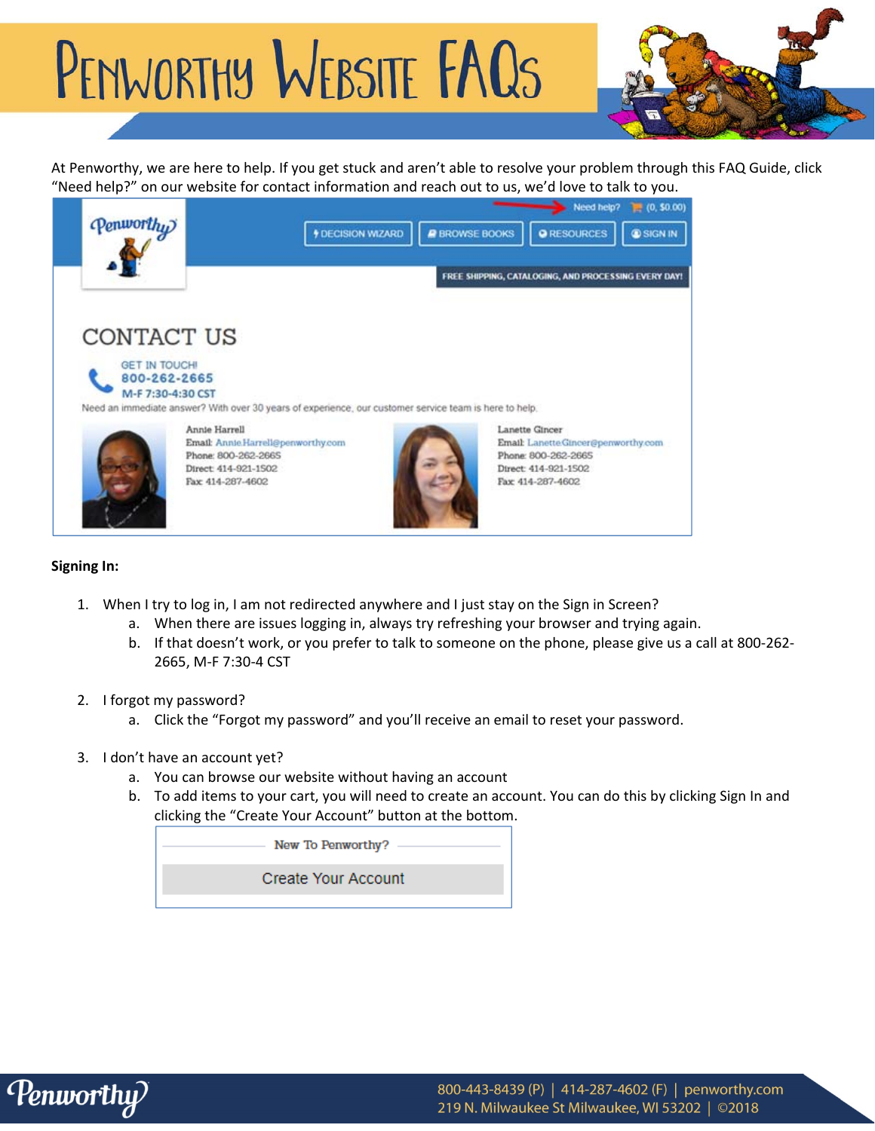# PENWORTHY WEBSITE FAQS



At Penworthy, we are here to help. If you get stuck and aren't able to resolve your problem through this FAQ Guide, click "Need help?" on our website for contact information and reach out to us, we'd love to talk to you.



### **Signing In:**

- 1. When I try to log in, I am not redirected anywhere and I just stay on the Sign in Screen?
	- a. When there are issues logging in, always try refreshing your browser and trying again.
	- b. If that doesn't work, or you prefer to talk to someone on the phone, please give us a call at 800‐262‐ 2665, M‐F 7:30‐4 CST
- 2. I forgot my password?
	- a. Click the "Forgot my password" and you'll receive an email to reset your password.
- 3. I don't have an account yet?
	- a. You can browse our website without having an account
	- b. To add items to your cart, you will need to create an account. You can do this by clicking Sign In and clicking the "Create Your Account" button at the bottom.

New To Penworthy?

**Create Your Account** 

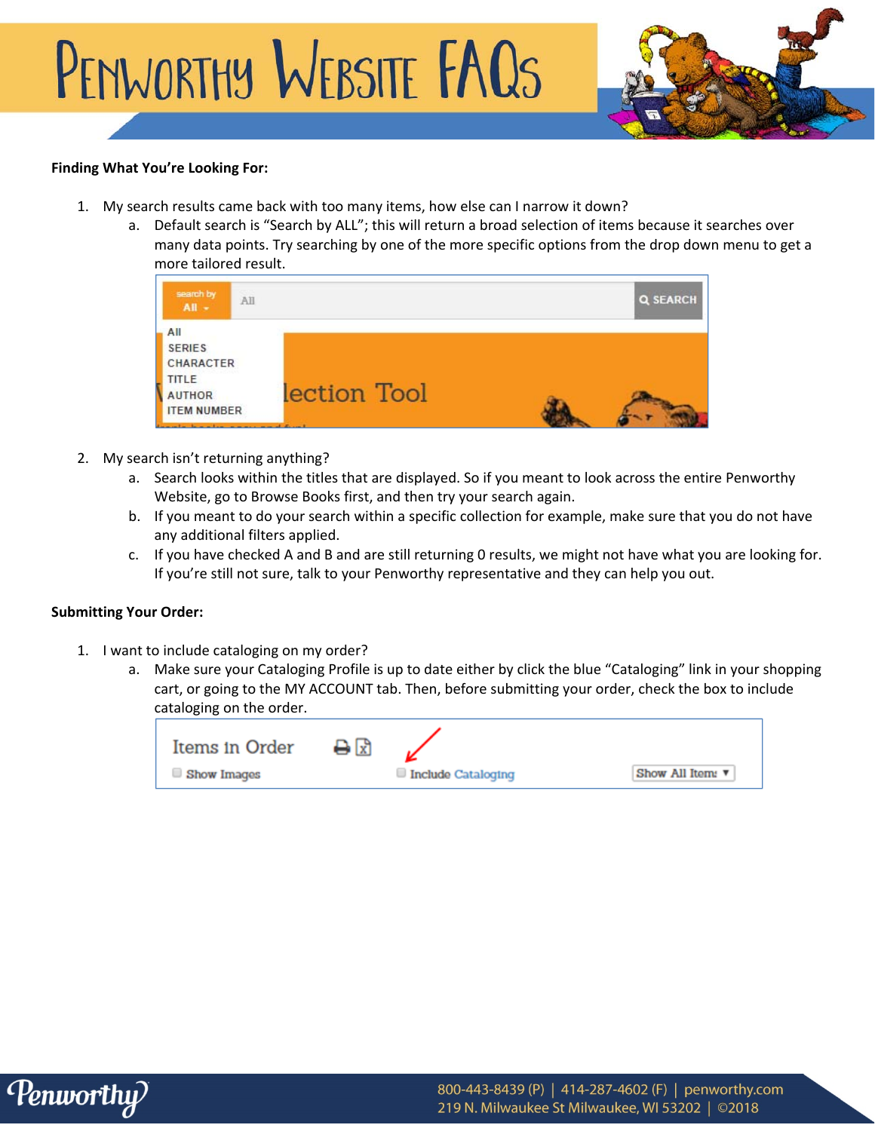

# **Finding What You're Looking For:**

- 1. My search results came back with too many items, how else can I narrow it down?
	- a. Default search is "Search by ALL"; this will return a broad selection of items because it searches over many data points. Try searching by one of the more specific options from the drop down menu to get a more tailored result.

| search by<br>$All -$                                                                                                           | All          | <b>Q SEARCH</b> |  |
|--------------------------------------------------------------------------------------------------------------------------------|--------------|-----------------|--|
| All<br><b>SERIES</b><br><b>CHARACTER</b><br><b>TITLE</b><br><b>AUTHOR</b><br><b>ITEM NUMBER</b><br>المسالمات والتعقل والمستقلة | lection Tool |                 |  |

- 2. My search isn't returning anything?
	- a. Search looks within the titles that are displayed. So if you meant to look across the entire Penworthy Website, go to Browse Books first, and then try your search again.
	- b. If you meant to do your search within a specific collection for example, make sure that you do not have any additional filters applied.
	- c. If you have checked A and B and are still returning 0 results, we might not have what you are looking for. If you're still not sure, talk to your Penworthy representative and they can help you out.

### **Submitting Your Order:**

- 1. I want to include cataloging on my order?
	- a. Make sure your Cataloging Profile is up to date either by click the blue "Cataloging" link in your shopping cart, or going to the MY ACCOUNT tab. Then, before submitting your order, check the box to include cataloging on the order.

| Items in Order | ₿₩ |                    |                                     |
|----------------|----|--------------------|-------------------------------------|
| Show Images    |    | Include Cataloging | Show All Item: $\blacktriangledown$ |

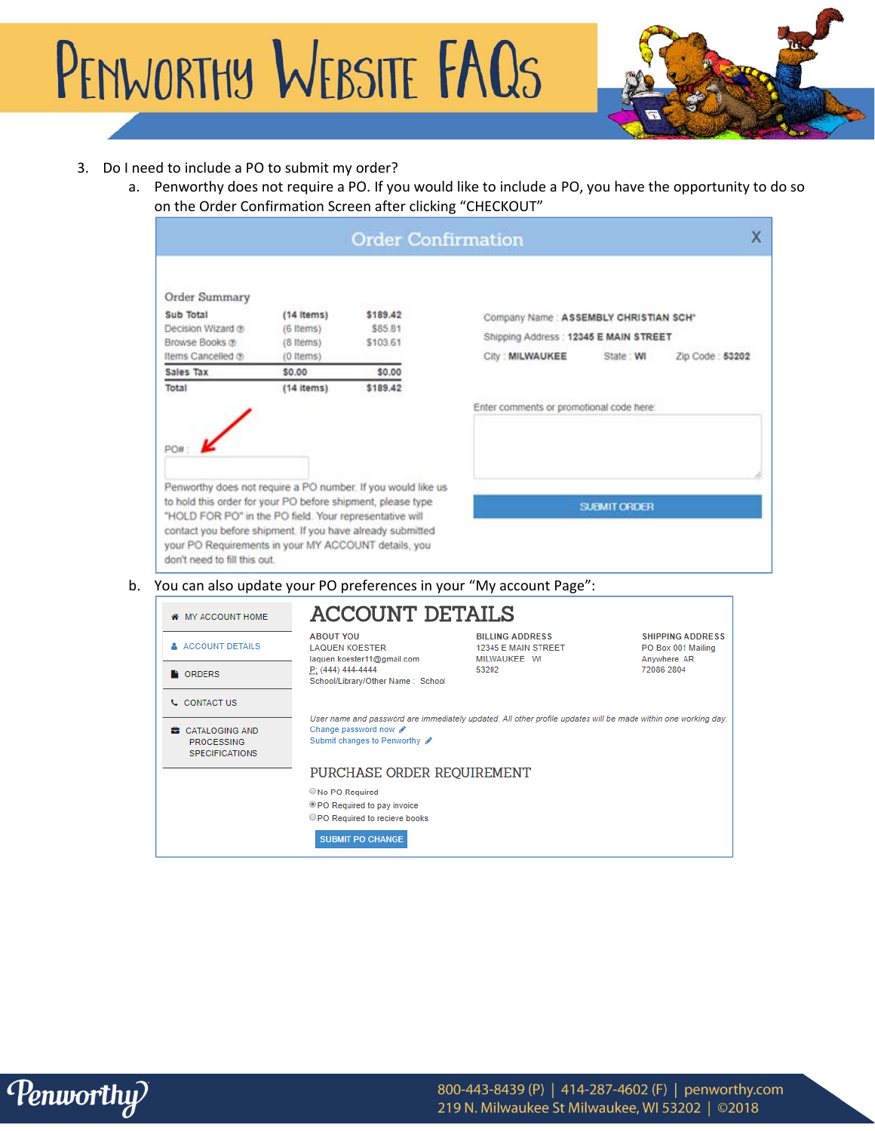PENWORTHY WEBSITE FAQS



# 3. Do I need to include a PO to submit my order?

a. Penworthy does not require a PO. If you would like to include a PO, you have the opportunity to do so on the Order Confirmation Screen after clicking "CHECKOUT"

| Order Summary<br>Sub Total<br>Decision Wizard ®<br>Browse Books @<br>Items Cancelled ®                                                                                                                                                                                                                                                       | $(14$ items)<br>(6 Items)<br>(8 Items)<br>(0 Items) | \$189.42<br>\$85.81<br>\$103.61                                  | Shipping Address : 12345 E MAIN STREET<br>City: MILWAUKEE                                                      | Company Name: ASSEMBLY CHRISTIAN SCH*<br>State: WI<br>Zip Code: 53202 |  |
|----------------------------------------------------------------------------------------------------------------------------------------------------------------------------------------------------------------------------------------------------------------------------------------------------------------------------------------------|-----------------------------------------------------|------------------------------------------------------------------|----------------------------------------------------------------------------------------------------------------|-----------------------------------------------------------------------|--|
| Sales Tax                                                                                                                                                                                                                                                                                                                                    | \$0.00                                              | \$0.00                                                           |                                                                                                                |                                                                       |  |
| Total                                                                                                                                                                                                                                                                                                                                        | $(14$ items)                                        | \$189.42                                                         |                                                                                                                |                                                                       |  |
|                                                                                                                                                                                                                                                                                                                                              |                                                     |                                                                  | Enter comments or promotional code here:                                                                       |                                                                       |  |
| PO#:                                                                                                                                                                                                                                                                                                                                         |                                                     |                                                                  |                                                                                                                |                                                                       |  |
|                                                                                                                                                                                                                                                                                                                                              |                                                     |                                                                  |                                                                                                                |                                                                       |  |
|                                                                                                                                                                                                                                                                                                                                              |                                                     |                                                                  |                                                                                                                |                                                                       |  |
| Penworthy does not require a PO number. If you would like us<br>to hold this order for your PO before shipment, please type<br>"HOLD FOR PO" in the PO field. Your representative will<br>contact you before shipment. If you have already submitted<br>your PO Requirements in your MY ACCOUNT details, you<br>don't need to fill this out. |                                                     |                                                                  |                                                                                                                | <b>SUEMIT ORDER</b>                                                   |  |
| <b># MY ACCOUNT HOME</b>                                                                                                                                                                                                                                                                                                                     |                                                     | <b>ACCOUNT DETAILS</b>                                           | You can also update your PO preferences in your "My account Page":                                             |                                                                       |  |
| <b>A ACCOUNT DETAILS</b>                                                                                                                                                                                                                                                                                                                     | <b>ABOUT YOU</b><br><b>LAQUEN KOESTER</b>           | laquen.koester11@gmail.com                                       | <b>BILLING ADDRESS</b><br>12345 E MAIN STREET<br>MILWAUKEE WI                                                  | <b>SHIPPING ADDRESS</b><br>PO Box 001 Mailing<br>Anywhere AR          |  |
| <b>CORDERS</b>                                                                                                                                                                                                                                                                                                                               | P: (444) 444-4444                                   | School/Library/Other Name: School                                | 53202                                                                                                          | 72086 2804                                                            |  |
| <b>L</b> CONTACT US                                                                                                                                                                                                                                                                                                                          |                                                     |                                                                  |                                                                                                                |                                                                       |  |
| <b>B</b> CATALOGING AND<br><b>PROCESSING</b><br><b>SPECIFICATIONS</b>                                                                                                                                                                                                                                                                        |                                                     | Change password now $\mathscr{P}$<br>Submit changes to Penworthy | User name and password are immediately updated. All other profile updates will be made within one working day. |                                                                       |  |
|                                                                                                                                                                                                                                                                                                                                              |                                                     |                                                                  | PURCHASE ORDER REQUIREMENT                                                                                     |                                                                       |  |
|                                                                                                                                                                                                                                                                                                                                              | No PO Required                                      |                                                                  |                                                                                                                |                                                                       |  |

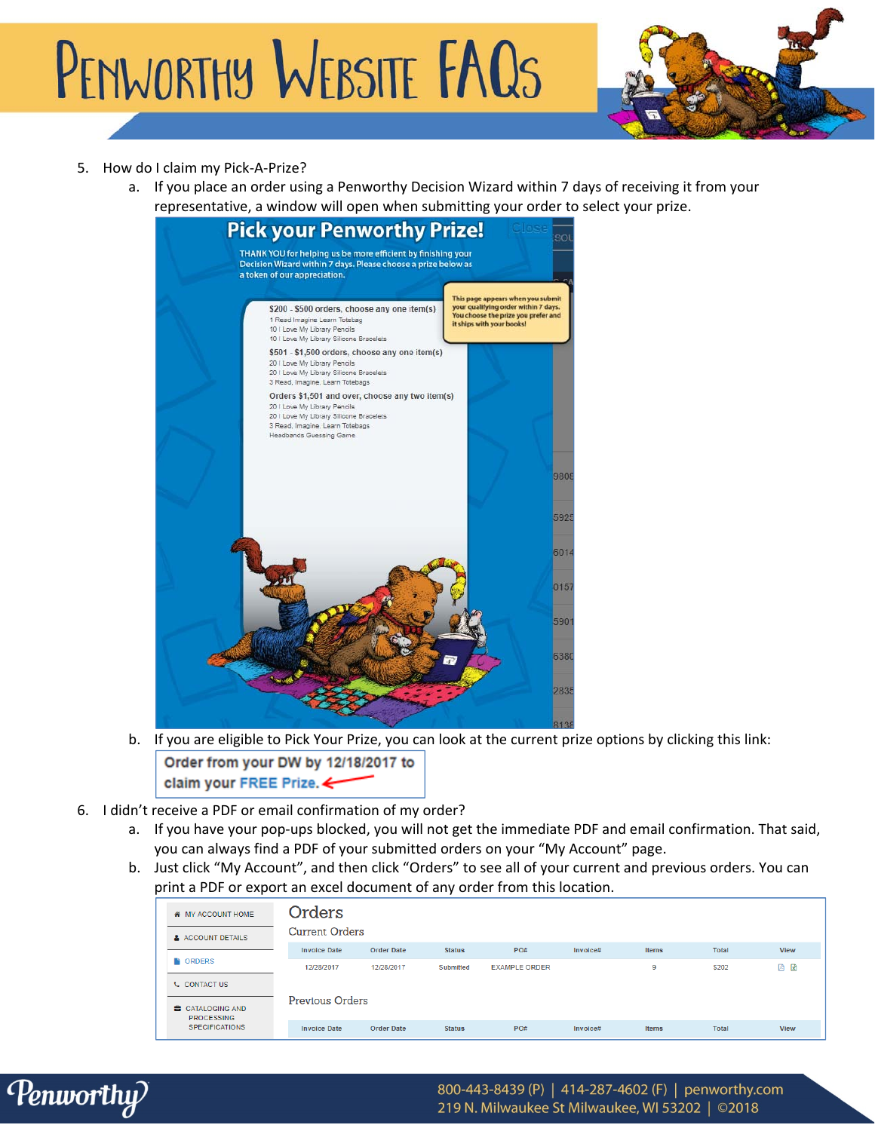PENWORTHY WEBSITE FAQS



# 5. How do I claim my Pick-A-Prize?

a. If you place an order using a Penworthy Decision Wizard within 7 days of receiving it from your representative, a window will open when submitting your order to select your prize.



- b. If you are eligible to Pick Your Prize, you can look at the current prize options by clicking this link: Order from your DW by 12/18/2017 to claim your FREE Prize. <
- 6. I didn't receive a PDF or email confirmation of my order?
	- a. If you have your pop‐ups blocked, you will not get the immediate PDF and email confirmation. That said, you can always find a PDF of your submitted orders on your "My Account" page.
	- b. Just click "My Account", and then click "Orders" to see all of your current and previous orders. You can print a PDF or export an excel document of any order from this location.

| <b><i>K</i></b> MY ACCOUNT HOME     | Orders                 |                   |               |                      |          |       |              |             |
|-------------------------------------|------------------------|-------------------|---------------|----------------------|----------|-------|--------------|-------------|
| A ACCOUNT DETAILS                   | <b>Current Orders</b>  |                   |               |                      |          |       |              |             |
|                                     | <b>Invoice Date</b>    | <b>Order Date</b> | <b>Status</b> | PO#                  | Invoice# | Items | <b>Total</b> | <b>View</b> |
| <b>CORDERS</b>                      | 12/28/2017             | 12/28/2017        | Submitted     | <b>EXAMPLE ORDER</b> |          | 9     | \$202        | 四日          |
| <b>L</b> CONTACT US                 |                        |                   |               |                      |          |       |              |             |
| CATALOGING AND<br><b>PROCESSING</b> | <b>Previous Orders</b> |                   |               |                      |          |       |              |             |
| <b>SPECIFICATIONS</b>               | <b>Invoice Date</b>    | <b>Order Date</b> | <b>Status</b> | PO#                  | Invoice# | Items | <b>Total</b> | <b>View</b> |

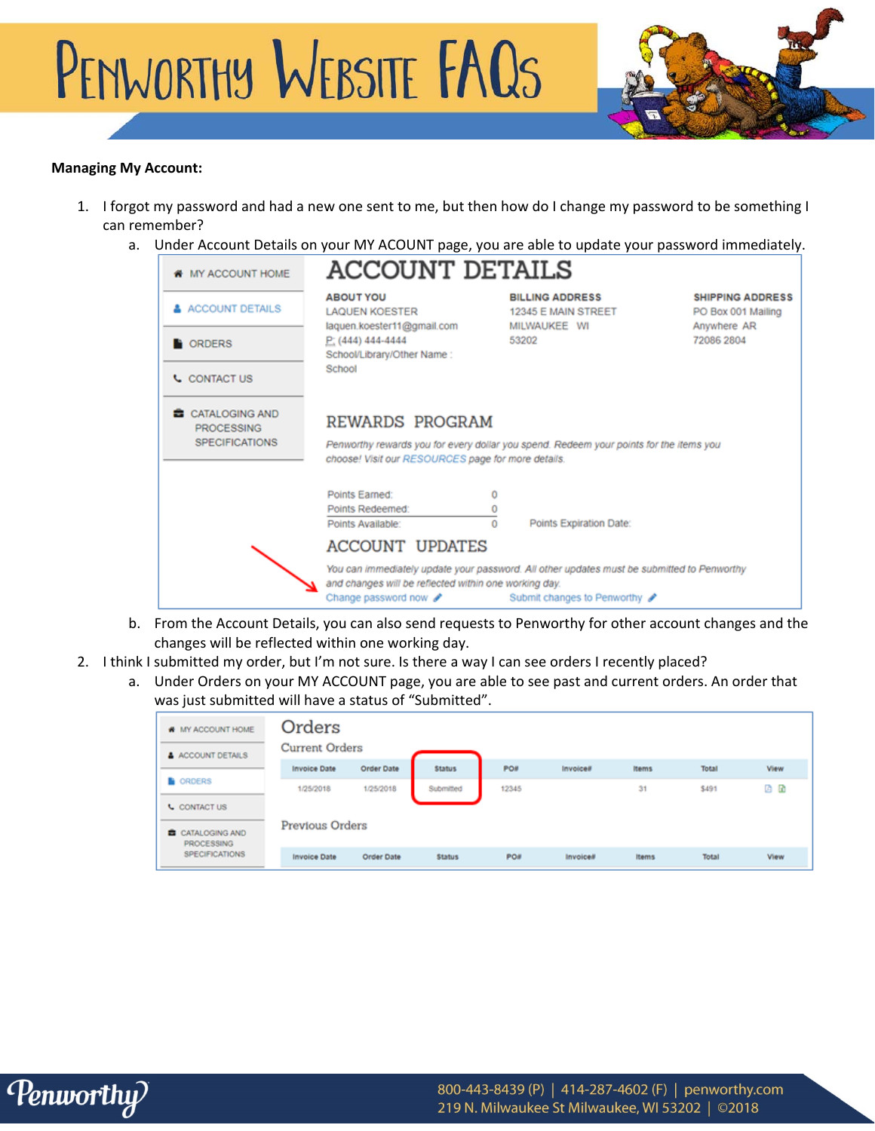



### **Managing My Account:**

- 1. I forgot my password and had a new one sent to me, but then how do I change my password to be something I can remember?
	- a. Under Account Details on your MY ACOUNT page, you are able to update your password immediately.

| <b># MY ACCOUNT HOME</b>                                            | <b>ACCOUNT DETAILS</b>                                                                     |                                                                                                                             |                                                                            |  |
|---------------------------------------------------------------------|--------------------------------------------------------------------------------------------|-----------------------------------------------------------------------------------------------------------------------------|----------------------------------------------------------------------------|--|
| <b>&amp; ACCOUNT DETAILS</b>                                        | <b>ABOUT YOU</b><br><b>LAQUEN KOESTER</b><br>laquen.koester11@gmail.com                    | <b>BILLING ADDRESS</b><br>12345 E MAIN STREET<br>MILWAUKEE WI                                                               | <b>SHIPPING ADDRESS</b><br>PO Box 001 Mailing<br>Anywhere AR<br>72086 2804 |  |
| <b>CORDERS</b>                                                      | $P(444)$ 444-4444<br>School/Library/Other Name:                                            | 53202                                                                                                                       |                                                                            |  |
| <b>L</b> CONTACT US                                                 | School                                                                                     |                                                                                                                             |                                                                            |  |
| <b>CATALOGING AND</b><br><b>PROCESSING</b><br><b>SPECIFICATIONS</b> | REWARDS PROGRAM<br>choose! Visit our RESOURCES page for more details.                      | Penworthy rewards you for every dollar you spend. Redeem your points for the items you                                      |                                                                            |  |
|                                                                     | Points Earned:<br>Ō<br>Points Redeemed:<br>0<br>0<br>Points Available:                     | Points Expiration Date:                                                                                                     |                                                                            |  |
|                                                                     | <b>ACCOUNT UPDATES</b>                                                                     |                                                                                                                             |                                                                            |  |
|                                                                     | and changes will be reflected within one working day.<br>Change password now $\mathscr{I}$ | You can immediately update your password. All other updates must be submitted to Penworthy<br>Submit changes to Penworthy ? |                                                                            |  |

- b. From the Account Details, you can also send requests to Penworthy for other account changes and the changes will be reflected within one working day.
- 2. I think I submitted my order, but I'm not sure. Is there a way I can see orders I recently placed?
	- a. Under Orders on your MY ACCOUNT page, you are able to see past and current orders. An order that was just submitted will have a status of "Submitted".

| W MY ACCOUNT HOME<br>A ACCOUNT DETAILS                 | Orders<br><b>Current Orders</b> |            |               |            |                 |              |       |      |
|--------------------------------------------------------|---------------------------------|------------|---------------|------------|-----------------|--------------|-------|------|
|                                                        | <b>Invoice Date</b>             | Order Date | <b>Status</b> | PO#        | Invoices        | <b>Items</b> | Total | View |
| <b>B</b> ORDERS                                        | 1/25/2018                       | 1/25/2018  | Submitted     | 12345      |                 | 31           | \$491 | 四 田  |
| <b>L</b> CONTACT US                                    |                                 |            |               |            |                 |              |       |      |
| Previous Orders<br>CATALOGING AND<br><b>PROCESSING</b> |                                 |            |               |            |                 |              |       |      |
| <b>SPECIFICATIONS</b>                                  | <b>Invoice Date</b>             | Order Date | <b>Status</b> | <b>PO#</b> | <b>Invoice#</b> | Items        | Total | View |